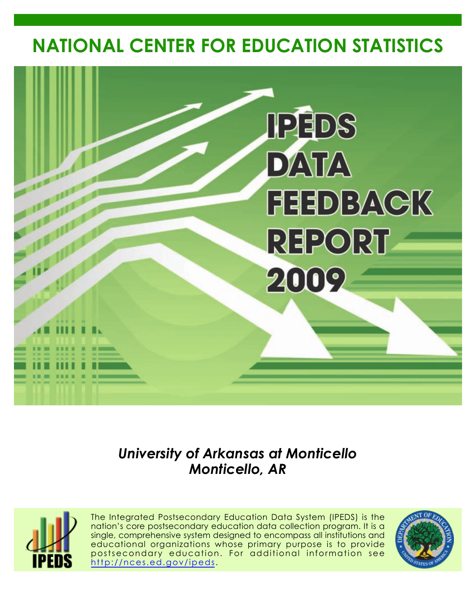# **NATIONAL CENTER FOR EDUCATION STATISTICS**



*University of Arkansas at Monticello Monticello, AR*



The Integrated Postsecondary Education Data System (IPEDS) is the nation's core postsecondary education data collection program. It is a single, comprehensive system designed to encompass all institutions and educational organizations whose primary purpose is to provide postsecondary education. For additional information see <http://nces.ed.gov/ipeds>.

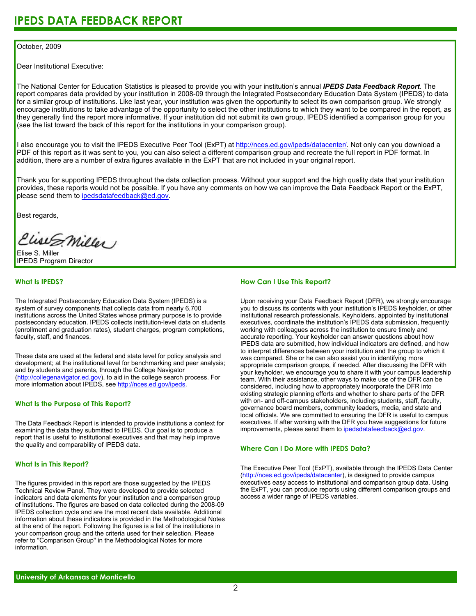#### October, 2009

Dear Institutional Executive:

The National Center for Education Statistics is pleased to provide you with your institution's annual *IPEDS Data Feedback Report*. The report compares data provided by your institution in 2008-09 through the Integrated Postsecondary Education Data System (IPEDS) to data for a similar group of institutions. Like last year, your institution was given the opportunity to select its own comparison group. We strongly encourage institutions to take advantage of the opportunity to select the other institutions to which they want to be compared in the report, as they generally find the report more informative. If your institution did not submit its own group, IPEDS identified a comparison group for you (see the list toward the back of this report for the institutions in your comparison group).

I also encourage you to visit the IPEDS Executive Peer Tool (ExPT) at <http://nces.ed.gov/ipeds/datacenter/>. Not only can you download a PDF of this report as it was sent to you, you can also select a different comparison group and recreate the full report in PDF format. In addition, there are a number of extra figures available in the ExPT that are not included in your original report.

Thank you for supporting IPEDS throughout the data collection process. Without your support and the high quality data that your institution provides, these reports would not be possible. If you have any comments on how we can improve the Data Feedback Report or the ExPT, please send them to ipedsdatafeedback@ed.gov.

Best regards,

Clist S. Miller

Elise S. Miller IPEDS Program Director

#### **What Is IPEDS?**

The Integrated Postsecondary Education Data System (IPEDS) is a system of survey components that collects data from nearly 6,700 institutions across the United States whose primary purpose is to provide postsecondary education. IPEDS collects institution-level data on students (enrollment and graduation rates), student charges, program completions, faculty, staff, and finances.

These data are used at the federal and state level for policy analysis and development; at the institutional level for benchmarking and peer analysis; and by students and parents, through the College Navigator [\(http://collegenavigator.ed.gov\)](http://collegenavigator.ed.gov), to aid in the college search process. For more information about IPEDS, see [http://nces.ed.gov/ipeds.](http://nces.ed.gov/ipeds)

#### **What Is the Purpose of This Report?**

The Data Feedback Report is intended to provide institutions a context for examining the data they submitted to IPEDS. Our goal is to produce a report that is useful to institutional executives and that may help improve the quality and comparability of IPEDS data.

#### **What Is in This Report?**

The figures provided in this report are those suggested by the IPEDS Technical Review Panel. They were developed to provide selected indicators and data elements for your institution and a comparison group of institutions. The figures are based on data collected during the 2008-09 IPEDS collection cycle and are the most recent data available. Additional information about these indicators is provided in the Methodological Notes at the end of the report. Following the figures is a list of the institutions in your comparison group and the criteria used for their selection. Please refer to "Comparison Group" in the Methodological Notes for more information.

#### **How Can I Use This Report?**

Upon receiving your Data Feedback Report (DFR), we strongly encourage you to discuss its contents with your institution's IPEDS keyholder, or other institutional research professionals. Keyholders, appointed by institutional executives, coordinate the institution's IPEDS data submission, frequently working with colleagues across the institution to ensure timely and accurate reporting. Your keyholder can answer questions about how IPEDS data are submitted, how individual indicators are defined, and how to interpret differences between your institution and the group to which it was compared. She or he can also assist you in identifying more appropriate comparison groups, if needed. After discussing the DFR with your keyholder, we encourage you to share it with your campus leadership team. With their assistance, other ways to make use of the DFR can be considered, including how to appropriately incorporate the DFR into existing strategic planning efforts and whether to share parts of the DFR with on- and off-campus stakeholders, including students, staff, faculty, governance board members, community leaders, media, and state and local officials. We are committed to ensuring the DFR is useful to campus executives. If after working with the DFR you have suggestions for future improvements, please send them to ipedsdatafeedback@ed.gov.

#### **Where Can I Do More with IPEDS Data?**

The Executive Peer Tool (ExPT), available through the IPEDS Data Center [\(http://nces.ed.gov/ipeds/datacenter](http://nces.ed.gov/ipeds/datacenter)), is designed to provide campus executives easy access to institutional and comparison group data. Using the ExPT, you can produce reports using different comparison groups and access a wider range of IPEDS variables.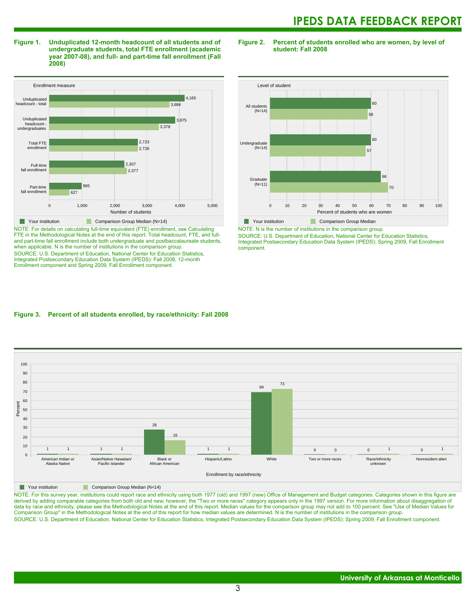**Figure 1. Unduplicated 12-month headcount of all students and of undergraduate students, total FTE enrollment (academic year 2007-08), and full- and part-time fall enrollment (Fall 2008)**

Enrollment measure 0 1,000 2,000 3,000 4,000 5,000 Number of students Part-time fall enrollment Full-time fall enrollment Total FTE enrollmen Unduplicated headcount undergraduates Unduplicated headcount - total 627 995 2,377 2,307 2,726 2,723 3,378 3,875 3,684 4,165 **Your institution** Comparison Group Median (N=14)

NOTE: For details on calculating full-time equivalent (FTE) enrollment, see Calculating FTE in the Methodological Notes at the end of this report. Total headcount, FTE, and fulland part-time fall enrollment include both undergraduate and postbaccalaureate students, when applicable. N is the number of institutions in the comparison group. SOURCE: U.S. Department of Education, National Center for Education Statistics, Integrated Postsecondary Education Data System (IPEDS): Fall 2008, 12-month Enrollment component and Spring 2009, Fall Enrollment component.

**Figure 2. Percent of students enrolled who are women, by level of student: Fall 2008**



NOTE: N is the number of institutions in the comparison group.

SOURCE: U.S. Department of Education, National Center for Education Statistics, Integrated Postsecondary Education Data System (IPEDS): Spring 2009, Fall Enrollment component.

#### **Figure 3. Percent of all students enrolled, by race/ethnicity: Fall 2008**



**The Comparison Group Median (N=14)** Comparison Group Median (N=14)

NOTE: For this survey year, institutions could report race and ethnicity using both 1977 (old) and 1997 (new) Office of Management and Budget categories. Categories shown in this figure are derived by adding comparable categories from both old and new; however, the "Two or more races" category appears only in the 1997 version. For more information about disaggregation of data by race and ethnicity, please see the Methodological Notes at the end of this report. Median values for the comparison group may not add to 100 percent. See "Use of Median Values for Comparison Group" in the Methodological Notes at the end of this report for how median values are determined. N is the number of institutions in the comparison group. SOURCE: U.S. Department of Education, National Center for Education Statistics, Integrated Postsecondary Education Data System (IPEDS): Spring 2009, Fall Enrollment component.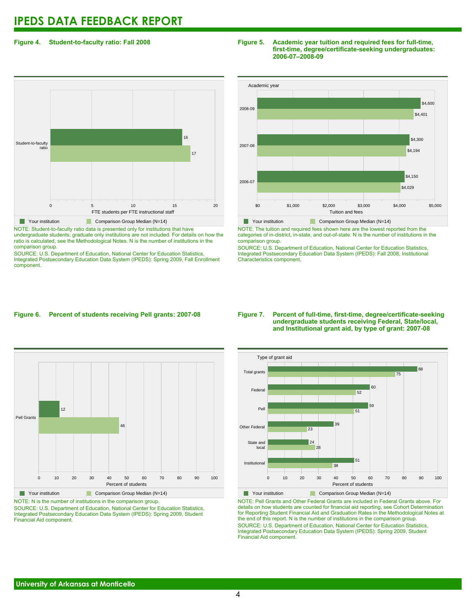#### **Figure 4. Student-to-faculty ratio: Fall 2008**

## 0 5 10 15 20 FTE students per FTE instructional staff Student-to-faculty ratio 17 16 **Your institution** Comparison Group Median (N=14)

NOTE: Student-to-faculty ratio data is presented only for institutions that have undergraduate students; graduate only institutions are not included. For details on how the ratio is calculated, see the Methodological Notes. N is the number of institutions in the comparison group.

SOURCE: U.S. Department of Education, National Center for Education Statistics, Integrated Postsecondary Education Data System (IPEDS): Spring 2009, Fall Enrollment component.

#### **Figure 5. Academic year tuition and required fees for full-time, first-time, degree/certificate-seeking undergraduates: 2006-07–2008-09**



NOTE: The tuition and required fees shown here are the lowest reported from the categories of in-district, in-state, and out-of-state. N is the number of institutions in the comparison group.

SOURCE: U.S. Department of Education, National Center for Education Statistics, Integrated Postsecondary Education Data System (IPEDS): Fall 2008, Institutional Characteristics component.

#### **Figure 6. Percent of students receiving Pell grants: 2007-08**



Your institution Comparison Group Median (N=14) NOTE: N is the number of institutions in the comparison group. SOURCE: U.S. Department of Education, National Center for Education Statistics,

Integrated Postsecondary Education Data System (IPEDS): Spring 2009, Student Financial Aid component.

#### **Figure 7. Percent of full-time, first-time, degree/certificate-seeking undergraduate students receiving Federal, State/local, and Institutional grant aid, by type of grant: 2007-08**



NOTE: Pell Grants and Other Federal Grants are included in Federal Grants above. For details on how students are counted for financial aid reporting, see Cohort Determination for Reporting Student Financial Aid and Graduation Rates in the Methodological Notes at the end of this report. N is the number of institutions in the comparison group. SOURCE: U.S. Department of Education, National Center for Education Statistics, Integrated Postsecondary Education Data System (IPEDS): Spring 2009, Student Financial Aid component.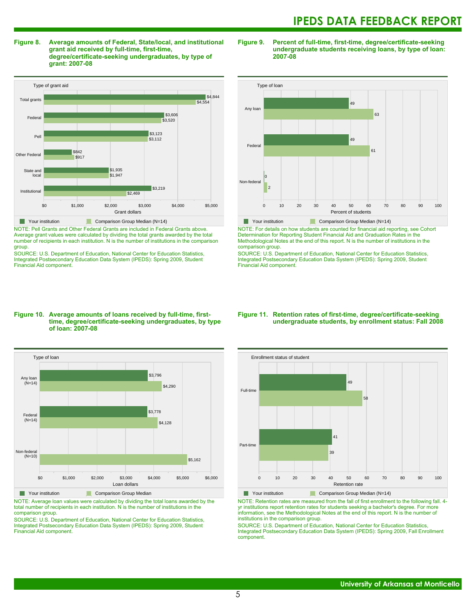**Figure 8. Average amounts of Federal, State/local, and institutional grant aid received by full-time, first-time, degree/certificate-seeking undergraduates, by type of grant: 2007-08**



NOTE: Pell Grants and Other Federal Grants are included in Federal Grants above. Average grant values were calculated by dividing the total grants awarded by the total number of recipients in each institution. N is the number of institutions in the comparison group.

SOURCE: U.S. Department of Education, National Center for Education Statistics, Integrated Postsecondary Education Data System (IPEDS): Spring 2009, Student Financial Aid component.

#### **Figure 9. Percent of full-time, first-time, degree/certificate-seeking undergraduate students receiving loans, by type of loan: 2007-08**



NOTE: For details on how students are counted for financial aid reporting, see Cohort Determination for Reporting Student Financial Aid and Graduation Rates in the Methodological Notes at the end of this report. N is the number of institutions in the

comparison group. SOURCE: U.S. Department of Education, National Center for Education Statistics, Integrated Postsecondary Education Data System (IPEDS): Spring 2009, Student Financial Aid component.

#### **Figure 10. Average amounts of loans received by full-time, firsttime, degree/certificate-seeking undergraduates, by type of loan: 2007-08**



NOTE: Average loan values were calculated by dividing the total loans awarded by the total number of recipients in each institution. N is the number of institutions in the comparison group.

SOURCE: U.S. Department of Education, National Center for Education Statistics, Integrated Postsecondary Education Data System (IPEDS): Spring 2009, Student Financial Aid component.

#### **Figure 11. Retention rates of first-time, degree/certificate-seeking undergraduate students, by enrollment status: Fall 2008**



NOTE: Retention rates are measured from the fall of first enrollment to the following fall. 4 yr institutions report retention rates for students seeking a bachelor's degree. For more information, see the Methodological Notes at the end of this report. N is the number of institutions in the comparison group.

SOURCE: U.S. Department of Education, National Center for Education Statistics, Integrated Postsecondary Education Data System (IPEDS): Spring 2009, Fall Enrollment component.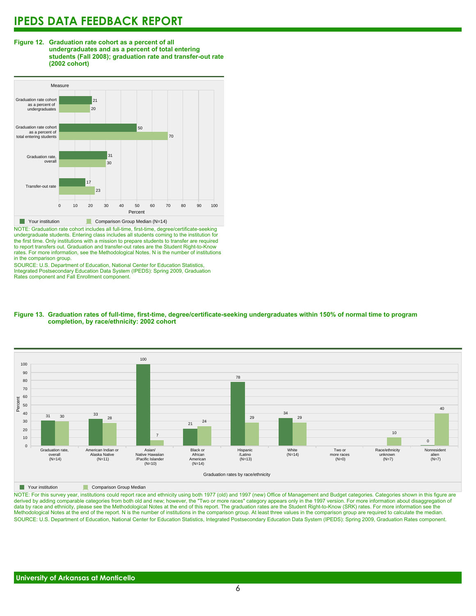#### **Figure 12. Graduation rate cohort as a percent of all undergraduates and as a percent of total entering students (Fall 2008); graduation rate and transfer-out rate (2002 cohort)**



NOTE: Graduation rate cohort includes all full-time, first-time, degree/certificate-seeking undergraduate students. Entering class includes all students coming to the institution for the first time. Only institutions with a mission to prepare students to transfer are required to report transfers out. Graduation and transfer-out rates are the Student Right-to-Know rates. For more information, see the Methodological Notes. N is the number of institutions in the comparison group.

SOURCE: U.S. Department of Education, National Center for Education Statistics, Integrated Postsecondary Education Data System (IPEDS): Spring 2009, Graduation Rates component and Fall Enrollment component.





**The Comparison Group Median** 

NOTE: For this survey year, institutions could report race and ethnicity using both 1977 (old) and 1997 (new) Office of Management and Budget categories. Categories shown in this figure are derived by adding comparable categories from both old and new; however, the "Two or more races" category appears only in the 1997 version. For more information about disaggregation of data by race and ethnicity, please see the Methodological Notes at the end of this report. The graduation rates are the Student Right-to-Know (SRK) rates. For more information see the Methodological Notes at the end of the report. N is the number of institutions in the comparison group. At least three values in the comparison group are required to calculate the median. SOURCE: U.S. Department of Education, National Center for Education Statistics, Integrated Postsecondary Education Data System (IPEDS): Spring 2009, Graduation Rates component.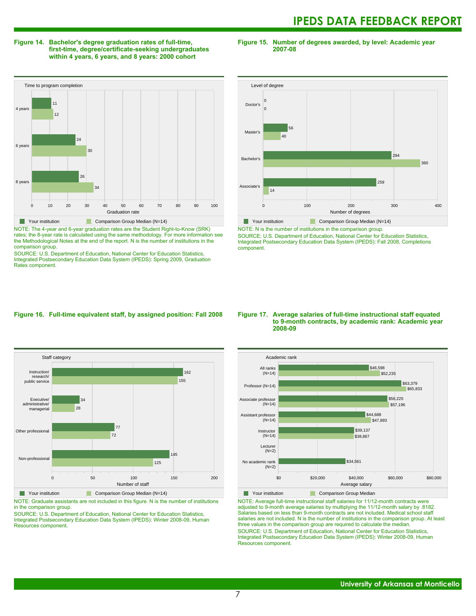#### **Figure 14. Bachelor's degree graduation rates of full-time, first-time, degree/certificate-seeking undergraduates within 4 years, 6 years, and 8 years: 2000 cohort**

**Figure 15. Number of degrees awarded, by level: Academic year 2007-08**



NOTE: The 4-year and 6-year graduation rates are the Student Right-to-Know (SRK) rates; the 8-year rate is calculated using the same methodology. For more information see the Methodological Notes at the end of the report. N is the number of institutions in the comparison group.

SOURCE: U.S. Department of Education, National Center for Education Statistics, Integrated Postsecondary Education Data System (IPEDS): Spring 2009, Graduation Rates component.



NOTE: N is the number of institutions in the comparison group.

SOURCE: U.S. Department of Education, National Center for Education Statistics, Integrated Postsecondary Education Data System (IPEDS): Fall 2008, Completions component.

#### **Figure 16. Full-time equivalent staff, by assigned position: Fall 2008**



**The Comparison Group Median (N=14)** Comparison Group Median (N=14)

NOTE: Graduate assistants are not included in this figure. N is the number of institutions in the comparison group.

SOURCE: U.S. Department of Education, National Center for Education Statistics, Integrated Postsecondary Education Data System (IPEDS): Winter 2008-09, Human Resources component.

#### **Figure 17. Average salaries of full-time instructional staff equated to 9-month contracts, by academic rank: Academic year 2008-09**



NOTE: Average full-time instructional staff salaries for 11/12-month contracts were adjusted to 9-month average salaries by multiplying the 11/12-month salary by .8182. Salaries based on less than 9-month contracts are not included. Medical school staff salaries are not included. N is the number of institutions in the comparison group. At least three values in the comparison group are required to calculate the median. SOURCE: U.S. Department of Education, National Center for Education Statistics, Integrated Postsecondary Education Data System (IPEDS): Winter 2008-09, Human Resources component.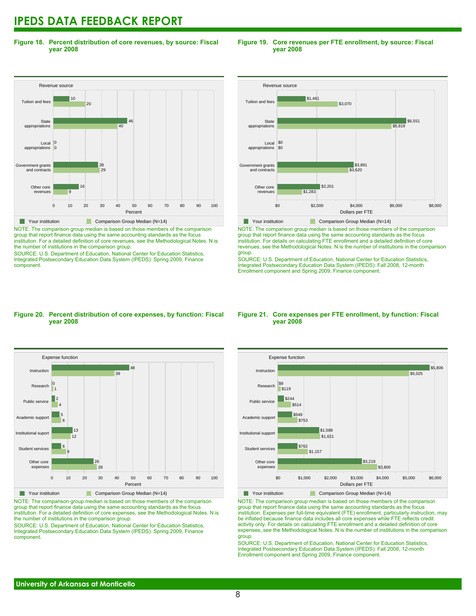**Figure 18. Percent distribution of core revenues, by source: Fiscal year 2008**

#### Revenue source 0 10 20 30 40 50 60 70 80 90 100 Percent Other core revenues Government grants<br>and contracts ..........<br>and cont Local appropriations **State** appropriations Tuition and fees 9 16 29 28 0 0  $\overline{40}$ 46  $20$ 10 Your institution Comparison Group Median (N=14)

NOTE: The comparison group median is based on those members of the comparison group that report finance data using the same accounting standards as the focus institution. For a detailed definition of core revenues, see the Methodological Notes. N is the number of institutions in the comparison group.

SOURCE: U.S. Department of Education, National Center for Education Statistics, Integrated Postsecondary Education Data System (IPEDS): Spring 2009, Finance component.

#### **Figure 19. Core revenues per FTE enrollment, by source: Fiscal year 2008**



NOTE: The comparison group median is based on those members of the comparison group that report finance data using the same accounting standards as the focus institution. For details on calculating FTE enrollment and a detailed definition of core revenues, see the Methodological Notes. N is the number of institutions in the comparison group.

SOURCE: U.S. Department of Education, National Center for Education Statistics, Integrated Postsecondary Education Data System (IPEDS): Fall 2008, 12-month Enrollment component and Spring 2009, Finance component.

#### **Figure 20. Percent distribution of core expenses, by function: Fiscal year 2008**



NOTE: The comparison group median is based on those members of the comparison group that report finance data using the same accounting standards as the focus institution. For a detailed definition of core expenses, see the Methodological Notes. N is the number of institutions in the comparison group.

SOURCE: U.S. Department of Education, National Center for Education Statistics, Integrated Postsecondary Education Data System (IPEDS): Spring 2009, Finance component.

#### **Figure 21. Core expenses per FTE enrollment, by function: Fiscal year 2008**



NOTE: The comparison group median is based on those members of the comparison group that report finance data using the same accounting standards as the focus institution. Expenses per full-time equivalent (FTE) enrollment, particularly instruction, may be inflated because finance data includes all core expenses while FTE reflects credit activity only. For details on calculating FTE enrollment and a detailed definition of core expenses, see the Methodological Notes. N is the number of institutions in the comparison group.

SOURCE: U.S. Department of Education, National Center for Education Statistics, Integrated Postsecondary Education Data System (IPEDS): Fall 2008, 12-month Enrollment component and Spring 2009, Finance component.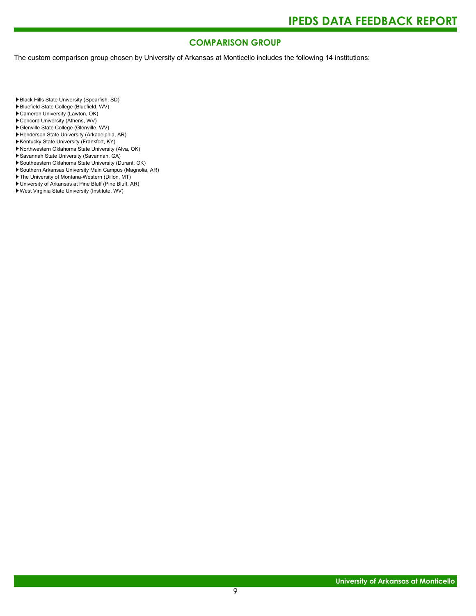### **COMPARISON GROUP**

The custom comparison group chosen by University of Arkansas at Monticello includes the following 14 institutions:

Black Hills State University (Spearfish, SD)

- Bluefield State College (Bluefield, WV)
- Cameron University (Lawton, OK)
- Concord University (Athens, WV)
- Glenville State College (Glenville, WV)
- Henderson State University (Arkadelphia, AR)
- Kentucky State University (Frankfort, KY)
- ▶ Northwestern Oklahoma State University (Alva, OK)
- Savannah State University (Savannah, GA)
- Southeastern Oklahoma State University (Durant, OK)
- Southern Arkansas University Main Campus (Magnolia, AR)
- The University of Montana-Western (Dillon, MT)
- University of Arkansas at Pine Bluff (Pine Bluff, AR)
- West Virginia State University (Institute, WV)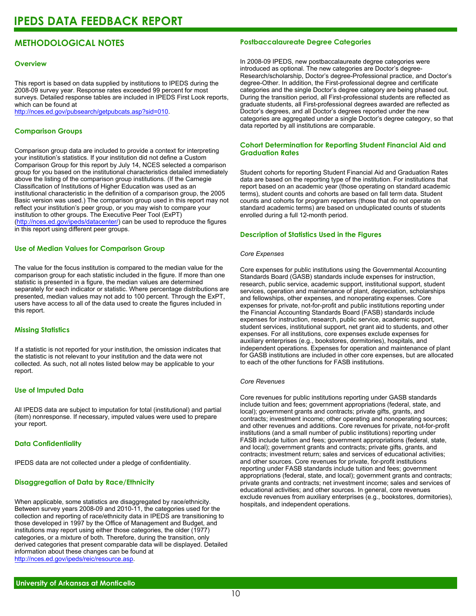### **METHODOLOGICAL NOTES**

#### **Overview**

This report is based on data supplied by institutions to IPEDS during the 2008-09 survey year. Response rates exceeded 99 percent for most surveys. Detailed response tables are included in IPEDS First Look reports, which can be found at [http://nces.ed.gov/pubsearch/getpubcats.asp?sid=010.](http://nces.ed.gov/pubsearch/getpubcats.asp?sid=010)

#### **Comparison Groups**

Comparison group data are included to provide a context for interpreting your institution's statistics. If your institution did not define a Custom Comparison Group for this report by July 14, NCES selected a comparison group for you based on the institutional characteristics detailed immediately above the listing of the comparison group institutions. (If the Carnegie Classification of Institutions of Higher Education was used as an institutional characteristic in the definition of a comparison group, the 2005 Basic version was used.) The comparison group used in this report may not reflect your institution's peer group, or you may wish to compare your institution to other groups. The Executive Peer Tool (ExPT) (<http://nces.ed.gov/ipeds/datacenter/>) can be used to reproduce the figures in this report using different peer groups.

#### **Use of Median Values for Comparison Group**

The value for the focus institution is compared to the median value for the comparison group for each statistic included in the figure. If more than one statistic is presented in a figure, the median values are determined separately for each indicator or statistic. Where percentage distributions are presented, median values may not add to 100 percent. Through the ExPT, users have access to all of the data used to create the figures included in this report.

#### **Missing Statistics**

If a statistic is not reported for your institution, the omission indicates that the statistic is not relevant to your institution and the data were not collected. As such, not all notes listed below may be applicable to your report.

#### **Use of Imputed Data**

All IPEDS data are subject to imputation for total (institutional) and partial (item) nonresponse. If necessary, imputed values were used to prepare your report.

#### **Data Confidentiality**

IPEDS data are not collected under a pledge of confidentiality.

#### **Disaggregation of Data by Race/Ethnicity**

When applicable, some statistics are disaggregated by race/ethnicity. Between survey years 2008-09 and 2010-11, the categories used for the collection and reporting of race/ethnicity data in IPEDS are transitioning to those developed in 1997 by the Office of Management and Budget, and institutions may report using either those categories, the older (1977) categories, or a mixture of both. Therefore, during the transition, only derived categories that present comparable data will be displayed. Detailed information about these changes can be found at <http://nces.ed.gov/ipeds/reic/resource.asp>.

#### **Postbaccalaureate Degree Categories**

In 2008-09 IPEDS, new postbaccalaureate degree categories were introduced as optional. The new categories are Doctor's degree-Research/scholarship, Doctor's degree-Professional practice, and Doctor's degree-Other. In addition, the First-professional degree and certificate categories and the single Doctor's degree category are being phased out. During the transition period, all First-professional students are reflected as graduate students, all First-professional degrees awarded are reflected as Doctor's degrees, and all Doctor's degrees reported under the new categories are aggregated under a single Doctor's degree category, so that data reported by all institutions are comparable.

#### **Cohort Determination for Reporting Student Financial Aid and Graduation Rates**

Student cohorts for reporting Student Financial Aid and Graduation Rates data are based on the reporting type of the institution. For institutions that report based on an academic year (those operating on standard academic terms), student counts and cohorts are based on fall term data. Student counts and cohorts for program reporters (those that do not operate on standard academic terms) are based on unduplicated counts of students enrolled during a full 12-month period.

#### **Description of Statistics Used in the Figures**

#### *Core Expenses*

Core expenses for public institutions using the Governmental Accounting Standards Board (GASB) standards include expenses for instruction, research, public service, academic support, institutional support, student services, operation and maintenance of plant, depreciation, scholarships and fellowships, other expenses, and nonoperating expenses. Core expenses for private, not-for-profit and public institutions reporting under the Financial Accounting Standards Board (FASB) standards include expenses for instruction, research, public service, academic support, student services, institutional support, net grant aid to students, and other expenses. For all institutions, core expenses exclude expenses for auxiliary enterprises (e.g., bookstores, dormitories), hospitals, and independent operations. Expenses for operation and maintenance of plant for GASB institutions are included in other core expenses, but are allocated to each of the other functions for FASB institutions.

#### *Core Revenues*

Core revenues for public institutions reporting under GASB standards include tuition and fees; government appropriations (federal, state, and local); government grants and contracts; private gifts, grants, and contracts; investment income; other operating and nonoperating sources; and other revenues and additions. Core revenues for private, not-for-profit institutions (and a small number of public institutions) reporting under FASB include tuition and fees; government appropriations (federal, state, and local); government grants and contracts; private gifts, grants, and contracts; investment return; sales and services of educational activities; and other sources. Core revenues for private, for-profit institutions reporting under FASB standards include tuition and fees; government appropriations (federal, state, and local); government grants and contracts; private grants and contracts; net investment income; sales and services of educational activities; and other sources. In general, core revenues exclude revenues from auxiliary enterprises (e.g., bookstores, dormitories), hospitals, and independent operations.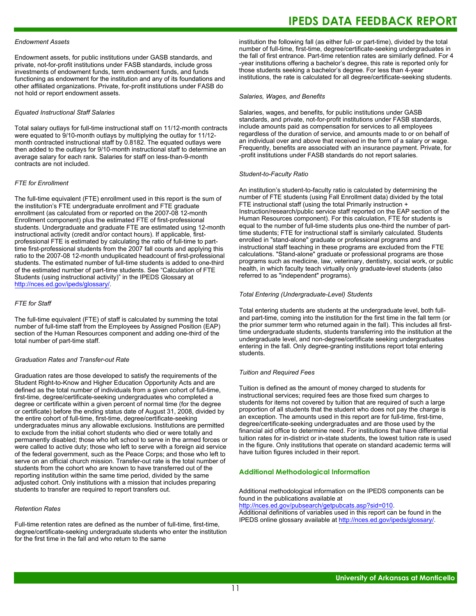#### *Endowment Assets*

Endowment assets, for public institutions under GASB standards, and private, not-for-profit institutions under FASB standards, include gross investments of endowment funds, term endowment funds, and funds functioning as endowment for the institution and any of its foundations and other affiliated organizations. Private, for-profit institutions under FASB do not hold or report endowment assets.

#### *Equated Instructional Staff Salaries*

Total salary outlays for full-time instructional staff on 11/12-month contracts were equated to 9/10-month outlays by multiplying the outlay for 11/12 month contracted instructional staff by 0.8182. The equated outlays were then added to the outlays for 9/10-month instructional staff to determine an average salary for each rank. Salaries for staff on less-than-9-month contracts are not included.

#### *FTE for Enrollment*

The full-time equivalent (FTE) enrollment used in this report is the sum of the institution's FTE undergraduate enrollment and FTE graduate enrollment (as calculated from or reported on the 2007-08 12-month Enrollment component) plus the estimated FTE of first-professional students. Undergraduate and graduate FTE are estimated using 12-month instructional activity (credit and/or contact hours). If applicable, firstprofessional FTE is estimated by calculating the ratio of full-time to parttime first-professional students from the 2007 fall counts and applying this ratio to the 2007-08 12-month unduplicated headcount of first-professional students. The estimated number of full-time students is added to one-third of the estimated number of part-time students. See "Calculation of FTE Students (using instructional activity)" in the IPEDS Glossary at <http://nces.ed.gov/ipeds/glossary/>.

#### *FTE for Staff*

The full-time equivalent (FTE) of staff is calculated by summing the total number of full-time staff from the Employees by Assigned Position (EAP) section of the Human Resources component and adding one-third of the total number of part-time staff.

#### *Graduation Rates and Transfer-out Rate*

Graduation rates are those developed to satisfy the requirements of the Student Right-to-Know and Higher Education Opportunity Acts and are defined as the total number of individuals from a given cohort of full-time, first-time, degree/certificate-seeking undergraduates who completed a degree or certificate within a given percent of normal time (for the degree or certificate) before the ending status date of August 31, 2008, divided by the entire cohort of full-time, first-time, degree/certificate-seeking undergraduates minus any allowable exclusions. Institutions are permitted to exclude from the initial cohort students who died or were totally and permanently disabled; those who left school to serve in the armed forces or were called to active duty; those who left to serve with a foreign aid service of the federal government, such as the Peace Corps; and those who left to serve on an official church mission. Transfer-out rate is the total number of students from the cohort who are known to have transferred out of the reporting institution within the same time period, divided by the same adjusted cohort. Only institutions with a mission that includes preparing students to transfer are required to report transfers out.

#### *Retention Rates*

Full-time retention rates are defined as the number of full-time, first-time, degree/certificate-seeking undergraduate students who enter the institution for the first time in the fall and who return to the same

## **IPEDS DATA FEEDBACK REPORT**

institution the following fall (as either full- or part-time), divided by the total number of full-time, first-time, degree/certificate-seeking undergraduates in the fall of first entrance. Part-time retention rates are similarly defined. For 4 -year institutions offering a bachelor's degree, this rate is reported only for those students seeking a bachelor's degree. For less than 4-year institutions, the rate is calculated for all degree/certificate-seeking students.

#### *Salaries, Wages, and Benefits*

Salaries, wages, and benefits, for public institutions under GASB standards, and private, not-for-profit institutions under FASB standards, include amounts paid as compensation for services to all employees regardless of the duration of service, and amounts made to or on behalf of an individual over and above that received in the form of a salary or wage. Frequently, benefits are associated with an insurance payment. Private, for -profit institutions under FASB standards do not report salaries.

#### *Student-to-Faculty Ratio*

An institution's student-to-faculty ratio is calculated by determining the number of FTE students (using Fall Enrollment data) divided by the total FTE instructional staff (using the total Primarily instruction + Instruction/research/public service staff reported on the EAP section of the Human Resources component). For this calculation, FTE for students is equal to the number of full-time students plus one-third the number of parttime students; FTE for instructional staff is similarly calculated. Students enrolled in "stand-alone" graduate or professional programs and instructional staff teaching in these programs are excluded from the FTE calculations. "Stand-alone" graduate or professional programs are those programs such as medicine, law, veterinary, dentistry, social work, or public health, in which faculty teach virtually only graduate-level students (also referred to as "independent" programs).

#### *Total Entering (Undergraduate-Level) Students*

Total entering students are students at the undergraduate level, both fulland part-time, coming into the institution for the first time in the fall term (or the prior summer term who returned again in the fall). This includes all firsttime undergraduate students, students transferring into the institution at the undergraduate level, and non-degree/certificate seeking undergraduates entering in the fall. Only degree-granting institutions report total entering students.

#### *Tuition and Required Fees*

Tuition is defined as the amount of money charged to students for instructional services; required fees are those fixed sum charges to students for items not covered by tuition that are required of such a large proportion of all students that the student who does not pay the charge is an exception. The amounts used in this report are for full-time, first-time, degree/certificate-seeking undergraduates and are those used by the financial aid office to determine need. For institutions that have differential tuition rates for in-district or in-state students, the lowest tuition rate is used in the figure. Only institutions that operate on standard academic terms will have tuition figures included in their report.

#### **Additional Methodological Information**

Additional methodological information on the IPEDS components can be found in the publications available at <http://nces.ed.gov/pubsearch/getpubcats.asp?sid=010>.

Additional definitions of variables used in this report can be found in the IPEDS online glossary available at <http://nces.ed.gov/ipeds/glossary/>.